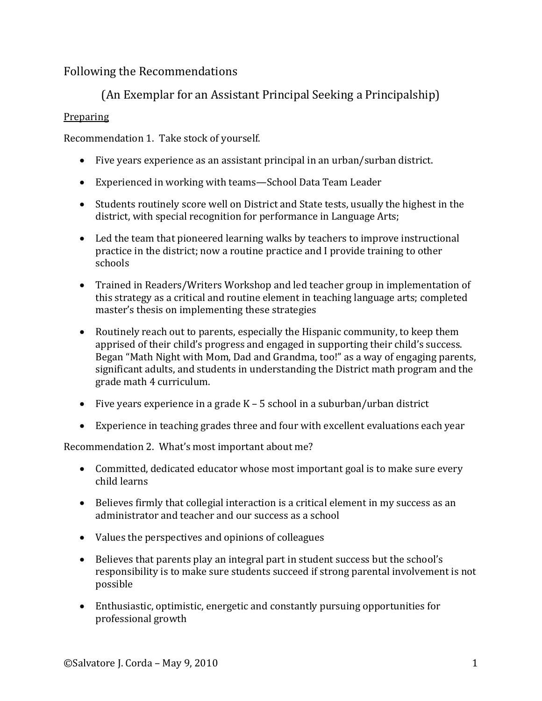# Following the Recommendations

# (An Exemplar for an Assistant Principal Seeking a Principalship)

## **Preparing**

Recommendation 1. Take stock of yourself.

- Five years experience as an assistant principal in an urban/surban district.
- Experienced in working with teams—School Data Team Leader
- Students routinely score well on District and State tests, usually the highest in the district, with special recognition for performance in Language Arts;
- Led the team that pioneered learning walks by teachers to improve instructional practice in the district; now a routine practice and I provide training to other schools
- Trained in Readers/Writers Workshop and led teacher group in implementation of this strategy as a critical and routine element in teaching language arts; completed master's thesis on implementing these strategies
- Routinely reach out to parents, especially the Hispanic community, to keep them apprised of their child's progress and engaged in supporting their child's success. Began "Math Night with Mom, Dad and Grandma, too!" as a way of engaging parents, significant adults, and students in understanding the District math program and the grade math 4 curriculum.
- Five years experience in a grade K 5 school in a suburban/urban district
- Experience in teaching grades three and four with excellent evaluations each year

Recommendation 2. What's most important about me?

- Committed, dedicated educator whose most important goal is to make sure every child learns
- Believes firmly that collegial interaction is a critical element in my success as an administrator and teacher and our success as a school
- Values the perspectives and opinions of colleagues
- Believes that parents play an integral part in student success but the school's responsibility is to make sure students succeed if strong parental involvement is not possible
- Enthusiastic, optimistic, energetic and constantly pursuing opportunities for professional growth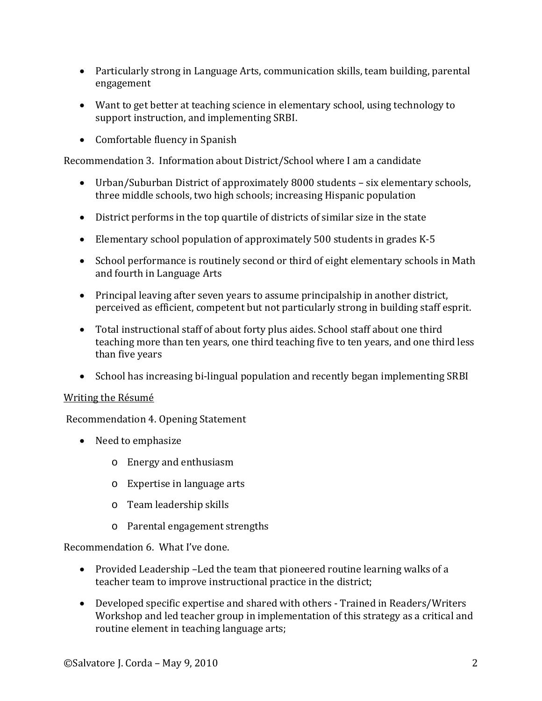- Particularly strong in Language Arts, communication skills, team building, parental engagement
- Want to get better at teaching science in elementary school, using technology to support instruction, and implementing SRBI.
- Comfortable fluency in Spanish

Recommendation 3. Information about District/School where I am a candidate

- Urban/Suburban District of approximately 8000 students six elementary schools, three middle schools, two high schools; increasing Hispanic population
- District performs in the top quartile of districts of similar size in the state
- Elementary school population of approximately 500 students in grades K-5
- School performance is routinely second or third of eight elementary schools in Math and fourth in Language Arts
- Principal leaving after seven years to assume principalship in another district, perceived as efficient, competent but not particularly strong in building staff esprit.
- Total instructional staff of about forty plus aides. School staff about one third teaching more than ten years, one third teaching five to ten years, and one third less than five years
- School has increasing bi-lingual population and recently began implementing SRBI

## Writing the Résumé

Recommendation 4. Opening Statement

- Need to emphasize
	- o Energy and enthusiasm
	- o Expertise in language arts
	- o Team leadership skills
	- o Parental engagement strengths

Recommendation 6. What I've done.

- Provided Leadership –Led the team that pioneered routine learning walks of a teacher team to improve instructional practice in the district;
- Developed specific expertise and shared with others Trained in Readers/Writers Workshop and led teacher group in implementation of this strategy as a critical and routine element in teaching language arts;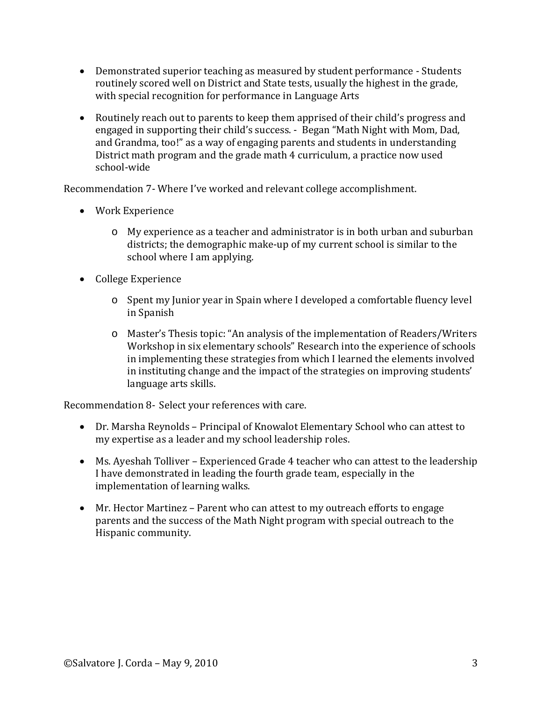- Demonstrated superior teaching as measured by student performance Students routinely scored well on District and State tests, usually the highest in the grade, with special recognition for performance in Language Arts
- Routinely reach out to parents to keep them apprised of their child's progress and engaged in supporting their child's success. - Began "Math Night with Mom, Dad, and Grandma, too!" as a way of engaging parents and students in understanding District math program and the grade math 4 curriculum, a practice now used school-wide

Recommendation 7- Where I've worked and relevant college accomplishment.

- Work Experience
	- o My experience as a teacher and administrator is in both urban and suburban districts; the demographic make-up of my current school is similar to the school where I am applying.
- College Experience
	- o Spent my Junior year in Spain where I developed a comfortable fluency level in Spanish
	- o Master's Thesis topic: "An analysis of the implementation of Readers/Writers Workshop in six elementary schools" Research into the experience of schools in implementing these strategies from which I learned the elements involved in instituting change and the impact of the strategies on improving students' language arts skills.

Recommendation 8- Select your references with care.

- Dr. Marsha Reynolds Principal of Knowalot Elementary School who can attest to my expertise as a leader and my school leadership roles.
- Ms. Ayeshah Tolliver Experienced Grade 4 teacher who can attest to the leadership I have demonstrated in leading the fourth grade team, especially in the implementation of learning walks.
- Mr. Hector Martinez Parent who can attest to my outreach efforts to engage parents and the success of the Math Night program with special outreach to the Hispanic community.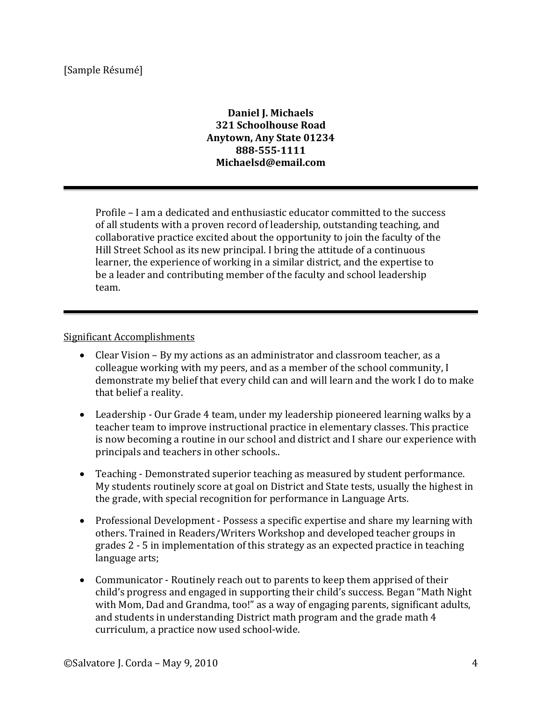## **Daniel J. Michaels 321 Schoolhouse Road Anytown, Any State 01234 888-555-1111 Michaelsd@email.com**

Profile – I am a dedicated and enthusiastic educator committed to the success of all students with a proven record of leadership, outstanding teaching, and collaborative practice excited about the opportunity to join the faculty of the Hill Street School as its new principal. I bring the attitude of a continuous learner, the experience of working in a similar district, and the expertise to be a leader and contributing member of the faculty and school leadership team.

### Significant Accomplishments

- Clear Vision By my actions as an administrator and classroom teacher, as a colleague working with my peers, and as a member of the school community, I demonstrate my belief that every child can and will learn and the work I do to make that belief a reality.
- Leadership Our Grade 4 team, under my leadership pioneered learning walks by a teacher team to improve instructional practice in elementary classes. This practice is now becoming a routine in our school and district and I share our experience with principals and teachers in other schools..
- Teaching Demonstrated superior teaching as measured by student performance. My students routinely score at goal on District and State tests, usually the highest in the grade, with special recognition for performance in Language Arts.
- Professional Development Possess a specific expertise and share my learning with others. Trained in Readers/Writers Workshop and developed teacher groups in grades 2 - 5 in implementation of this strategy as an expected practice in teaching language arts;
- Communicator Routinely reach out to parents to keep them apprised of their child's progress and engaged in supporting their child's success. Began "Math Night with Mom, Dad and Grandma, too!" as a way of engaging parents, significant adults, and students in understanding District math program and the grade math 4 curriculum, a practice now used school-wide.